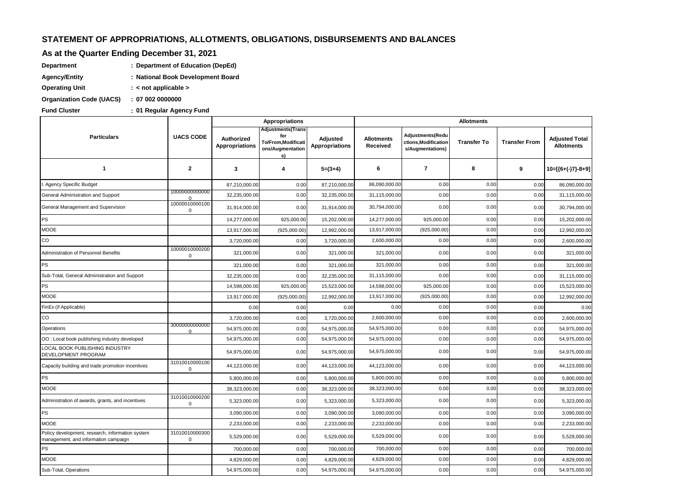# STATEMENT OF APPROPRIATIONS, ALLOTMENTS, OBLIGATIONS, DISBURSEMENTS AND BALANCES

### As at the Quarter Ending December 31, 2021

- Department : Department of Education (DepEd)
- **Agency/Entity** : National Book Development Board
- **Operating Unit** : < not applicable >

Organization Code (UACS) : 07 002 0000000

**Fund Cluster** 

: 01 Regular Agency Fund

|                                                                                          | <b>UACS CODE</b>            | <b>Appropriations</b>                      |                                                                           |                                   | <b>Allotments</b>             |                                                              |                    |                      |                                            |  |
|------------------------------------------------------------------------------------------|-----------------------------|--------------------------------------------|---------------------------------------------------------------------------|-----------------------------------|-------------------------------|--------------------------------------------------------------|--------------------|----------------------|--------------------------------------------|--|
| <b>Particulars</b>                                                                       |                             | <b>Authorized</b><br><b>Appropriations</b> | Adjustments(Trans<br>fer<br>To/From, Modificati<br>ons/Augmentation<br>s) | Adjusted<br><b>Appropriations</b> | <b>Allotments</b><br>Received | Adjustments(Redu<br>ctions, Modification<br>s/Augmentations) | <b>Transfer To</b> | <b>Transfer From</b> | <b>Adjusted Total</b><br><b>Allotments</b> |  |
| $\mathbf{1}$                                                                             | $\overline{2}$              | 3                                          | 4                                                                         | $5=(3+4)$                         | 6                             | $\overline{7}$                                               | 8                  | 9                    | $10=[(6+(-)7)-8+9]$                        |  |
| Agency Specific Budget                                                                   |                             | 87,210,000.00                              | 0.00                                                                      | 87,210,000.00                     | 86,090,000.00                 | 0.00                                                         | 0.00               | 0.00                 | 86,090,000.00                              |  |
| General Administration and Support                                                       | 10000000000000<br>$\Omega$  | 32,235,000.00                              | 0.00                                                                      | 32,235,000.00                     | 31,115,000.00                 | 0.00                                                         | 0.00               | 0.00                 | 31,115,000.00                              |  |
| General Management and Supervision                                                       | 10000010000100<br>0         | 31,914,000.00                              | 0.00                                                                      | 31,914,000.00                     | 30,794,000.00                 | 0.00                                                         | 0.00               | 0.00                 | 30,794,000.00                              |  |
| PS                                                                                       |                             | 14,277,000.00                              | 925,000.00                                                                | 15,202,000.00                     | 14,277,000.00                 | 925,000.00                                                   | 0.00               | 0.00                 | 15,202,000.00                              |  |
| <b>MOOE</b>                                                                              |                             | 13,917,000.00                              | (925,000.00)                                                              | 12,992,000.00                     | 13,917,000.00                 | (925,000.00)                                                 | 0.00               | 0.00                 | 12,992,000.00                              |  |
| $_{\rm CO}$                                                                              |                             | 3,720,000.00                               | 0.00                                                                      | 3,720,000.00                      | 2,600,000.00                  | 0.00                                                         | 0.00               | 0.00                 | 2,600,000.00                               |  |
| Administration of Personnel Benefits                                                     | 10000010000200<br>0         | 321,000.00                                 | 0.00                                                                      | 321,000.00                        | 321,000.00                    | 0.00                                                         | 0.00               | 0.00                 | 321,000.00                                 |  |
| PS                                                                                       |                             | 321,000.00                                 | 0.00                                                                      | 321,000.00                        | 321,000.00                    | 0.00                                                         | 0.00               | 0.00                 | 321,000.00                                 |  |
| Sub-Total, General Administration and Support                                            |                             | 32,235,000.00                              | 0.00                                                                      | 32,235,000.00                     | 31,115,000.00                 | 0.00                                                         | 0.00               | 0.00                 | 31,115,000.00                              |  |
| PS                                                                                       |                             | 14,598,000.00                              | 925,000.00                                                                | 15,523,000.00                     | 14,598,000.00                 | 925,000.00                                                   | 0.00               | 0.00                 | 15,523,000.00                              |  |
| <b>MOOE</b>                                                                              |                             | 13,917,000.00                              | (925,000.00)                                                              | 12,992,000.00                     | 13,917,000.00                 | (925,000.00)                                                 | 0.00               | 0.00                 | 12,992,000.00                              |  |
| FinEx (if Applicable)                                                                    |                             | 0.00                                       | 0.00                                                                      | 0.00                              | 0.00                          | 0.00                                                         | 0.00               | 0.00                 | 0.00                                       |  |
| $_{\rm CO}$                                                                              |                             | 3,720,000.00                               | 0.00                                                                      | 3,720,000.00                      | 2,600,000.00                  | 0.00                                                         | 0.00               | 0.00                 | 2,600,000.00                               |  |
| Operations                                                                               | 300000000000000<br>$\Omega$ | 54,975,000.00                              | 0.00                                                                      | 54,975,000.00                     | 54,975,000.00                 | 0.00                                                         | 0.00               | 0.00                 | 54,975,000.00                              |  |
| OO: Local book publishing industry developed                                             |                             | 54,975,000.00                              | 0.00                                                                      | 54,975,000.00                     | 54,975,000.00                 | 0.00                                                         | 0.00               | 0.00                 | 54,975,000.00                              |  |
| LOCAL BOOK PUBLISHING INDUSTRY<br>DEVELOPMENT PROGRAM                                    |                             | 54,975,000.00                              | 0.00                                                                      | 54,975,000.00                     | 54,975,000.00                 | 0.00                                                         | 0.00               | 0.00                 | 54,975,000.00                              |  |
| Capacity building and trade promotion incentives                                         | 31010010000100<br>0         | 44,123,000.00                              | 0.00                                                                      | 44,123,000.00                     | 44,123,000.00                 | 0.00                                                         | 0.00               | 0.00                 | 44,123,000.00                              |  |
| PS                                                                                       |                             | 5,800,000.00                               | 0.00                                                                      | 5,800,000.00                      | 5,800,000.00                  | 0.00                                                         | 0.00               | 0.00                 | 5,800,000.00                               |  |
| <b>MOOE</b>                                                                              |                             | 38,323,000.00                              | 0.00                                                                      | 38,323,000.00                     | 38,323,000.00                 | 0.00                                                         | 0.00               | 0.00                 | 38,323,000.00                              |  |
| Administration of awards, grants, and incentives                                         | 31010010000200<br>0         | 5,323,000.00                               | 0.00                                                                      | 5,323,000.00                      | 5,323,000.00                  | 0.00                                                         | 0.00               | 0.00                 | 5,323,000.00                               |  |
| PS                                                                                       |                             | 3,090,000.00                               | 0.00                                                                      | 3,090,000.00                      | 3,090,000.00                  | 0.00                                                         | 0.00               | 0.00                 | 3,090,000.00                               |  |
| <b>MOOE</b>                                                                              |                             | 2,233,000.00                               | 0.00                                                                      | 2,233,000.00                      | 2,233,000.00                  | 0.00                                                         | 0.00               | 0.00                 | 2,233,000.00                               |  |
| Policy development, research, information system<br>management, and information campaign | 31010010000300<br>0         | 5,529,000.00                               | 0.00                                                                      | 5,529,000.00                      | 5,529,000.00                  | 0.00                                                         | 0.00               | 0.00                 | 5,529,000.00                               |  |
| PS                                                                                       |                             | 700,000.00                                 | 0.00                                                                      | 700,000.00                        | 700,000.00                    | 0.00                                                         | 0.00               | 0.00                 | 700,000.00                                 |  |
| <b>MOOE</b>                                                                              |                             | 4,829,000.00                               | 0.00                                                                      | 4,829,000.00                      | 4,829,000.00                  | 0.00                                                         | 0.00               | 0.00                 | 4,829,000.00                               |  |
| Sub-Total, Operations                                                                    |                             | 54,975,000.00                              | 0.00                                                                      | 54,975,000.00                     | 54,975,000.00                 | 0.00                                                         | 0.00               | 0.00                 | 54,975,000.00                              |  |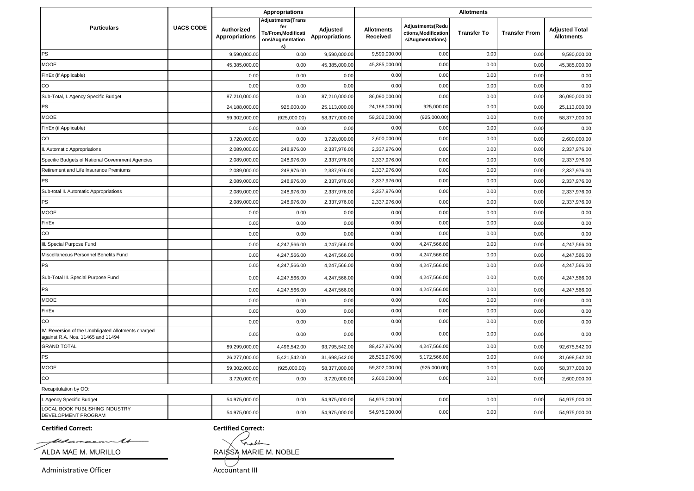|                                                                                          |                  |                                     | <b>Appropriations</b>                                                           |                                   |                               |                                                              | <b>Allotments</b>  |                      |                                            |
|------------------------------------------------------------------------------------------|------------------|-------------------------------------|---------------------------------------------------------------------------------|-----------------------------------|-------------------------------|--------------------------------------------------------------|--------------------|----------------------|--------------------------------------------|
| <b>Particulars</b>                                                                       | <b>UACS CODE</b> | Authorized<br><b>Appropriations</b> | <b>Adjustments(Trans</b><br>fer<br>To/From,Modificati<br>ons/Augmentation<br>s) | Adjusted<br><b>Appropriations</b> | <b>Allotments</b><br>Received | Adjustments(Redu<br>ctions, Modification<br>s/Augmentations) | <b>Transfer To</b> | <b>Transfer From</b> | <b>Adjusted Total</b><br><b>Allotments</b> |
| PS                                                                                       |                  | 9,590,000.00                        | 0.00                                                                            | 9,590,000.00                      | 9,590,000.00                  | 0.00                                                         | 0.00               | 0.00                 | 9,590,000.00                               |
| <b>MOOE</b>                                                                              |                  | 45,385,000.00                       | 0.00                                                                            | 45,385,000.00                     | 45,385,000.00                 | 0.00                                                         | 0.00               | 0.00                 | 45,385,000.00                              |
| FinEx (if Applicable)                                                                    |                  | 0.00                                | 0.00                                                                            | 0.00                              | 0.00                          | 0.00                                                         | 0.00               | 0.00                 | 0.00                                       |
| CO.                                                                                      |                  | 0.00                                | 0.00                                                                            | 0.00                              | 0.00                          | 0.00                                                         | 0.00               | 0.00                 | 0.00                                       |
| Sub-Total, I. Agency Specific Budget                                                     |                  | 87,210,000.00                       | 0.00                                                                            | 87,210,000.00                     | 86,090,000.00                 | 0.00                                                         | 0.00               | 0.00                 | 86,090,000.00                              |
| PS                                                                                       |                  | 24,188,000.00                       | 925,000.00                                                                      | 25,113,000.00                     | 24,188,000.00                 | 925,000.00                                                   | 0.00               | 0.00                 | 25,113,000.00                              |
| <b>MOOE</b>                                                                              |                  | 59,302,000.00                       | (925,000.00)                                                                    | 58,377,000.00                     | 59,302,000.00                 | (925,000.00)                                                 | 0.00               | 0.00                 | 58,377,000.00                              |
| FinEx (if Applicable)                                                                    |                  | 0.00                                | 0.00                                                                            | 0.00                              | 0.00                          | 0.00                                                         | 0.00               | 0.00                 | 0.00                                       |
| CO                                                                                       |                  | 3,720,000.00                        | 0.00                                                                            | 3,720,000.00                      | 2,600,000.00                  | 0.00                                                         | 0.00               | 0.00                 | 2,600,000.00                               |
| II. Automatic Appropriations                                                             |                  | 2,089,000.00                        | 248,976.00                                                                      | 2,337,976.00                      | 2,337,976.00                  | 0.00                                                         | 0.00               | 0.00                 | 2,337,976.00                               |
| Specific Budgets of National Government Agencies                                         |                  | 2,089,000.00                        | 248,976.00                                                                      | 2,337,976.00                      | 2,337,976.00                  | 0.00                                                         | 0.00               | 0.00                 | 2,337,976.00                               |
| Retirement and Life Insurance Premiums                                                   |                  | 2,089,000.00                        | 248,976.00                                                                      | 2,337,976.00                      | 2,337,976.00                  | 0.00                                                         | 0.00               | 0.00                 | 2,337,976.00                               |
| <b>PS</b>                                                                                |                  | 2,089,000.00                        | 248,976.00                                                                      | 2,337,976.00                      | 2,337,976.00                  | 0.00                                                         | 0.00               | 0.00                 | 2,337,976.00                               |
| Sub-total II. Automatic Appropriations                                                   |                  | 2,089,000.00                        | 248,976.00                                                                      | 2,337,976.00                      | 2,337,976.00                  | 0.00                                                         | 0.00               | 0.00                 | 2,337,976.00                               |
| PS                                                                                       |                  | 2,089,000.00                        | 248,976.0                                                                       | 2,337,976.00                      | 2,337,976.00                  | 0.00                                                         | 0.00               | 0.00                 | 2,337,976.00                               |
| <b>MOOE</b>                                                                              |                  | 0.00                                | 0.00                                                                            | 0.00                              | 0.00                          | 0.00                                                         | 0.00               | 0.00                 | 0.00                                       |
| FinEx                                                                                    |                  | 0.00                                | 0.00                                                                            | 0.00                              | 0.00                          | 0.00                                                         | 0.00               | 0.00                 | 0.00                                       |
| CO                                                                                       |                  | 0.00                                | 0.00                                                                            | 0.00                              | 0.00                          | 0.00                                                         | 0.00               | 0.00                 | 0.00                                       |
| III. Special Purpose Fund                                                                |                  | 0.00                                | 4,247,566.00                                                                    | 4,247,566.00                      | 0.00                          | 4,247,566.00                                                 | 0.00               | 0.00                 | 4,247,566.00                               |
| Miscellaneous Personnel Benefits Fund                                                    |                  | 0.00                                | 4,247,566.00                                                                    | 4,247,566.00                      | 0.00                          | 4,247,566.00                                                 | 0.00               | 0.00                 | 4,247,566.00                               |
| PS                                                                                       |                  | 0.00                                | 4,247,566.00                                                                    | 4,247,566.00                      | 0.00                          | 4,247,566.00                                                 | 0.00               | 0.00                 | 4,247,566.00                               |
| Sub-Total III. Special Purpose Fund                                                      |                  | 0.00                                | 4,247,566.00                                                                    | 4,247,566.00                      | 0.00                          | 4,247,566.00                                                 | 0.00               | 0.00                 | 4,247,566.00                               |
| PS                                                                                       |                  | 0.00                                | 4,247,566.00                                                                    | 4,247,566.00                      | 0.00                          | 4,247,566.00                                                 | 0.00               | 0.00                 | 4,247,566.00                               |
| <b>MOOE</b>                                                                              |                  | 0.00                                | 0.00                                                                            | 0.00                              | 0.00                          | 0.00                                                         | 0.00               | 0.00                 | 0.00                                       |
| FinEx                                                                                    |                  | 0.00                                | 0.00                                                                            | 0.00                              | 0.00                          | 0.00                                                         | 0.00               | 0.00                 | 0.00                                       |
| CO                                                                                       |                  | 0.00                                | 0.00                                                                            | 0.00                              | 0.00                          | 0.00                                                         | 0.00               | 0.00                 | 0.00                                       |
| IV. Reversion of the Unobligated Allotments charged<br>against R.A. Nos. 11465 and 11494 |                  | 0.00                                | 0.00                                                                            | 0.00                              | 0.00                          | 0.00                                                         | 0.00               | 0.00                 | 0.00                                       |
| <b>GRAND TOTAL</b>                                                                       |                  | 89,299,000.00                       | 4,496,542.00                                                                    | 93,795,542.00                     | 88,427,976.00                 | 4,247,566.00                                                 | 0.00               | 0.00                 | 92,675,542.00                              |
| PS                                                                                       |                  | 26,277,000.00                       | 5,421,542.00                                                                    | 31,698,542.00                     | 26,525,976.00                 | 5,172,566.00                                                 | 0.00               | 0.00                 | 31,698,542.00                              |
| <b>MOOE</b>                                                                              |                  | 59,302,000.00                       | (925,000.00)                                                                    | 58,377,000.00                     | 59,302,000.00                 | (925,000.00)                                                 | 0.00               | 0.00                 | 58,377,000.00                              |
| $_{\rm CO}$                                                                              |                  | 3,720,000.00                        | 0.00                                                                            | 3,720,000.00                      | 2,600,000.00                  | 0.00                                                         | 0.00               | 0.00                 | 2,600,000.00                               |
| Recapitulation by OO:                                                                    |                  |                                     |                                                                                 |                                   |                               |                                                              |                    |                      |                                            |
| I. Agency Specific Budget                                                                |                  | 54,975,000.00                       | 0.00                                                                            | 54,975,000.00                     | 54,975,000.00                 | 0.00                                                         | 0.00               | 0.00                 | 54,975,000.00                              |
| LOCAL BOOK PUBLISHING INDUSTRY<br>DEVELOPMENT PROGRAM                                    |                  | 54,975,000.00                       | 0.00                                                                            | 54,975,000.00                     | 54,975,000.00                 | 0.00                                                         | 0.00               | 0.00                 | 54,975,000.00                              |

**Certified Correct: Certified Correct:**

Udamaem ◢  $ALDA MAE M. MURILLO$  RAI $S\rightarrow$ RAI $S\rightarrow$ MARIE M. NOBLE

Trable

Administrative Officer Accountant III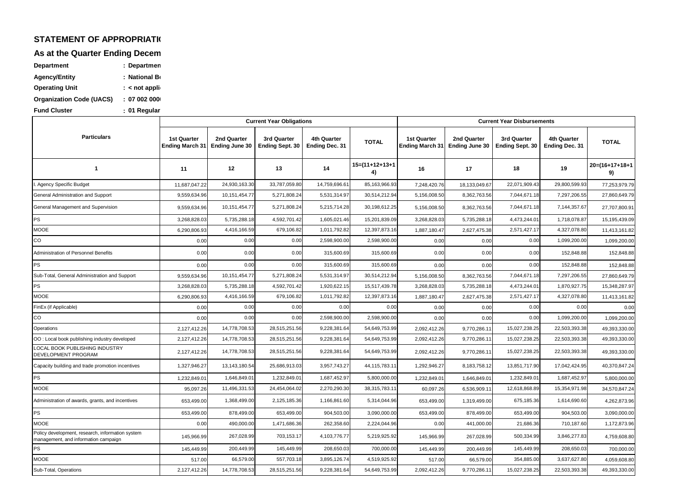#### **STATEMENT OF APPROPRIATION**

**As at the Quarter Ending Decem** 

| Department                      | : Departmen     |
|---------------------------------|-----------------|
| Agency/Entity                   | : National Bo   |
| <b>Operating Unit</b>           | $:$ < not appli |
| <b>Organization Code (UACS)</b> | : 07002000      |
| <b>Fund Cluster</b>             | : 01 Regular    |

MOOE Sub-Total, Operations Policy development, research, information system management, and information campaign PS PS MOOE **MOOF** Administration of awards, grants, and incentives Capacity building and trade promotion incentives PS OO : Local book publishing industry developed LOCAL BOOK PUBLISHING INDUSTRY DEVELOPMENT PROGRAM CO **Operations** MOOE FinEx (if Applicable) Sub-Total, General Administration and Support PS Administration of Personnel Benefits PS MOOE PS CO **1 Particulars** General Administration and Support Agency Specific Budget General Management and Supervision **<sup>11</sup> <sup>16</sup> <sup>17</sup> 20=(16+17+18+1 9)** 11,687,047.22| 24,930,163.30| 33,787,059.80| 14,759,696.61| 85,163,966.93| 7,248,420.76| 18,133,049.67| 22,071,909.43| 29,800,599.93| 77,253,979.79 9,559,634.96 10,151,454.77 5,271,808.24 5,531,314.97 30,514,212.94 5,156,008.50 8,362,763.56 7,044,671.18 1,297,206.55 27,860,649.79 9,559,634.96 10,151,454.77 5,271,808.24 5,215,714.28 30,198,612.25 5,156,008.50 8,362,763.56 7,044,671.18 10,151,454.757 800.91 3,268,828.03 | 1,718,078.87 | 1,509,439.09 | 1,605,021.46 | 1,5201,839.09 | 3,268,828.03 | 5,735,288.18 | 1,473,244.01 | 1,718,078.87 | 15,195,439.09 6,290,806.93 4,416,166.59 679,106.82 1,011,792.82 12,397,873.16 1,887,180.47 2,627,475.38 2,571,427.17 4,327,078.80 11,413,161.82 0.00 0.00 0.00 0.00 0.00 0.00 0.000 0.000 0.000 0.000 0.000 0.000 0.000 0.000 0.000 0.000 0.000 0.000 0.000 0.000 0.000 0.000 0.000 0.000 0.000 0.000 0.000 0.000 0.000 0.000 0.000 0.000 0.000 0.000 0.000 0.000 0.000 0.000 0 0.00 0.00 0.00 0.00 0.00 0.00 0.00 0.000 0.00 0.00 0.00 0.00 0.00 0.00 0.00 0.00 0.00 0.00 0.00 0.00 0.00 0.00 0.00 0.00 0.00 0.00 0.00 0.00 0.00 0.00 0.00 0.00 0.00 0.00 0.00 0.00 0.00 0.00 0.00 0.00 0.00 0.00 0.00 0.00 0. 0.00 0.00 0.00 0.00 0.00 0.00 0.000 0.000 0.000 0.000 0.000 0.000 0.000 0.000 0.000 0.000 0.000 0.000 0.000 0.0 9,559,634.96 10,151,454.77 5,271,808.24 5,531,314.97 30,514,212.94 5,156,008.50 8,362,763.56 7,044,671.18 1,297,206.55 27,860,649.79 3,268,828.03 | 5,735,288.18 | 1,592,701.42 1,920,622.15 15,517,439.78 3,268,828.03 5,735,288.18 | 1,473,244.01 1,870,927.75 15,348,287.97 6,290,806.93 4,416,166.59 679,106.82 1,011,792.82 12,397,873.16 1,887,180.47 2,627,475.38 2,571,427.17 4,327,078.80 11,413,161.82 0.00 0.00 0.00 0.00 0.00 0.00 0.00 0.00 0.00 0.00 0.00 0.00 0.00 0.00 0.00 0.00 0 0.00**0 0.000 0.000 0.000 0.000 0.000** 0.00**0** 0.00**0** 0.00**0** 0.00**0** 0.00**0** 0.00**0** 1,099,200.00 0.00**0** 0.00**0** 1,099,200.00 2,127,412.26 14,778,708.53 28,515,251.56 9,228,381.64 54,649,753.99 2,092,412.26 9,770,286.11 15,027,238.25 22,503,393.38 49,393,330.00 2,127,412.26| 14,778,708.53| 28,515,251.56| 9,228,381.64| 54,649,753.99| 2,092,412.26| 9,770,286.11| 15,027,238.25| 22,503,393.38| 49,393,330.00 2,127,412.26| 14,778,708.53| 28,515,251.56| 9,228,381.64| 54,649,753.99| 2,092,412.26| 9,770,286.11| 15,027,238.25| 22,503,393.38| 49,393,330.00 1,327,946.27 13,143,180.54 25,686,913.03 3,957,743.27 44,115,783.11 1,292,946.27 8,183,758.12 13,851,717.90 17,042,424.95 40,370,847.24 1,232,849.01 1,646,849.01 1,623,849.01 1,687,452.97 5,800,000.00 1,232,849.01 1,666,849.01 1,323,849.01 1,687,452.97 5,800,000.00 95,097.26 11,496,331.53 24,454,064.02 2,270,290.30 38,315,783.11 60,097.26 6,536,909.11 12,618,868.89 15,354,971.98 34,570,847.24 653,499.00 1,368,499.00 2,125,185.36 1,166,861.60 5,314,044.96 653,499.00 1,319,499.00 675,185.36 1,614,690.60 4,262,873.96 653,499.00 878,499.00 653,499.00 904,503.00 3,090,000.00 653,499.00 878,499.00 653,499.00 904,503.00 3,090,000.00 0.00 490,000.00 1,471,686.36 262,358.60 2,224,044.96 0.00 441,000.00 21,686.36 710,187.60 1,172,873.96 145,966.99 267,028.99 703,153.17 4,103,776.77 5,219,925.92 145,966.99 267,028.99 500,334.99 3,846,277.83 4,759,608.80 145,449.99 145,449.99 200,449.99 700,000.00 517.00**|** 66,579.00**|** 557,703.18**|** 3,895,126.74| 4,519,925.92**|** 517.00**|** 66,579.00**|** 354,885.00**|** 3,637,627.80| 4,059,608.80 2,127,412.26 14,778,708.53 28,515,251.56 9,228,381.64 54,649,753.99 2,092,412.26 9,770,286.11 15,027,238.25 22,503,393.38 49,393,330.00 66,579.00 557,703.18 3,895,126.74 4,519,925.92 354,885.00 3,637,627.80 267,028.99 703,153.17 4,103,776.77 5,219,925.92 500,334.99 3,846,277.83 200,449.99 145,449.99 208,650.03 700,000.00 145,449.99 208,650.03 878,499.00 653,499.00 904,503.00 3,090,000.00 653,499.00 904,503.00 490,000.00 1,471,686.36 262,358.60 2,224,044.96 2.000 441,000.00 21,686.36 710,187.60 11,496,331.53 24,454,064.02 2,270,290.30 38,315,783.11 12,618,868.89 15,354,971.98 1,368,499.00 2,125,185.36 1,166,861.60 5,314,044.96 675,185.36 1,614,690.60 13,143,180.54 25,686,913.03 3,957,743.27 44,115,783.11 13,851,717.90 17,042,424.95 1,646,849.01 1,232,849.01 1,687,452.97 5,800,000.00 1,232,849.01 1,687,452.97 14,778,708.53 28,515,251.56 9,228,381.64 54,649,753.99 15,027,238.25 22,503,393.38 14,778,708.53 28,515,251.56 9,228,381.64 54,649,753.99 15,027,238.25 22,503,393.38 0.00 0.00 2,598,900.00 2,598,900.00 0.00 1,099,200.00 14,778,708.53 28,515,251.56 9,228,381.64 54,649,753.99 15,027,238.25 22,503,393.38 4,416,166.59 679,106.82 1,011,792.82 12,397,873.16 1,887,180.47 2,627,475.38 2,571,427.17 4,327,078.80 0.00 0.00 0.00 0.00 0.00 0.00 10,151,454.77 5,271,808.24 5,531,314.97 30,514,212.94 7,044,671.18 7,297,206.55 5,735,288.18 4,592,701.42 1,920,622.15 15,517,439.78 4,473,244.01 1,870,927.75 0.00 0.00 315,600.69 315,600.69 0.00 152,848.88 0.00 0.00 315,600.69 315,600.69 0.00 152,848.88 12,397,873.16 1,887,180.47 2,627,475.38 2,571,427.17 0.00 0.00 2,598,900.00 2,598,900.00 0.00 4,327,078.80 1,099,200.00 4,416,166.59 679,106.82 1,011,792.82 5,735,288.18 4,592,701.42 1,605,021.46 15,201,839.09 4,473,244.01 1,718,078.87 10,151,454.77 5,271,808.24 5,215,714.28 30,198,612.25 7,044,671.18 7,144,357.67 24,930,163.30 33,787,059.80 14,759,696.61 85,163,966.93 7,248,420.76 18,133,049.67 22,071,909.43 10,151,454.77 5,271,808.24 5,531,314.97 30,514,212.94 7,044,671.18 **<sup>12</sup> <sup>13</sup> <sup>14</sup> <sup>19</sup> 15=(11+12+13+1 4) <sup>18</sup> 4th Quarter Ending Dec. 31 TOTAL 4th Quarter Ending Dec. 31 TOTAL 1st Quarter Ending March 31 2nd Quarter Ending June 30 3rd Quarter Ending Sept. 30 1st Quarter Ending March 31 2nd Quarter Ending June 30 3rd Quarter Ending Sept. 30 Current Year Obligations Current Year Disbursements** 7,297,206.55 29,800,599.93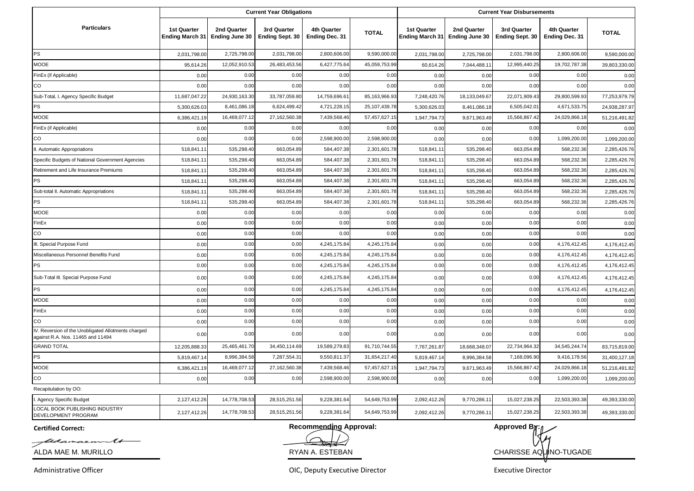|                                                                                          |                                              |                               | <b>Current Year Obligations</b>       |                               |               | <b>Current Year Disbursements</b>            |                               |                                       |                                      |               |
|------------------------------------------------------------------------------------------|----------------------------------------------|-------------------------------|---------------------------------------|-------------------------------|---------------|----------------------------------------------|-------------------------------|---------------------------------------|--------------------------------------|---------------|
| <b>Particulars</b>                                                                       | <b>1st Quarter</b><br><b>Ending March 31</b> | 2nd Quarter<br>Ending June 30 | 3rd Quarter<br><b>Ending Sept. 30</b> | 4th Quarter<br>Ending Dec. 31 | <b>TOTAL</b>  | <b>1st Quarter</b><br><b>Ending March 31</b> | 2nd Quarter<br>Ending June 30 | 3rd Quarter<br><b>Ending Sept. 30</b> | 4th Quarter<br><b>Ending Dec. 31</b> | <b>TOTAL</b>  |
| PS                                                                                       | 2,031,798.00                                 | 2,725,798.00                  | 2,031,798.00                          | 2,800,606.00                  | 9,590,000.00  | 2,031,798.00                                 | 2,725,798.00                  | 2,031,798.00                          | 2,800,606.00                         | 9,590,000.00  |
| <b>MOOE</b>                                                                              | 95,614.26                                    | 12,052,910.53                 | 26,483,453.56                         | 6,427,775.64                  | 45,059,753.99 | 60,614.26                                    | 7,044,488.11                  | 12,995,440.25                         | 19,702,787.38                        | 39,803,330.00 |
| FinEx (if Applicable)                                                                    | 0.00                                         | 0.00                          | 0.00                                  | 0.00                          | 0.00          | 0.00                                         | 0.00                          | 0.00                                  | 0.00                                 | 0.00          |
| CO                                                                                       | 0.00                                         | 0.00                          | 0.00                                  | 0.00                          | 0.00          | 0.00                                         | 0.00                          | 0.00                                  | 0.00                                 | 0.00          |
| Sub-Total, I. Agency Specific Budget                                                     | 11,687,047.22                                | 24,930,163.30                 | 33,787,059.80                         | 14,759,696.6                  | 85,163,966.93 | 7,248,420.76                                 | 18,133,049.67                 | 22,071,909.43                         | 29,800,599.93                        | 77,253,979.79 |
| PS                                                                                       | 5,300,626.03                                 | 8,461,086.18                  | 6,624,499.42                          | 4,721,228.15                  | 25,107,439.78 | 5,300,626.03                                 | 8,461,086.18                  | 6,505,042.01                          | 4,671,533.75                         | 24,938,287.97 |
| MOOE                                                                                     | 6,386,421.19                                 | 16,469,077.12                 | 27,162,560.38                         | 7,439,568.46                  | 57,457,627.15 | 1,947,794.73                                 | 9,671,963.49                  | 15,566,867.42                         | 24,029,866.18                        | 51,216,491.82 |
| FinEx (if Applicable)                                                                    | 0.00                                         | 0.00                          | 0.00                                  | 0.00                          | 0.00          | 0.00                                         | 0.00                          | 0.00                                  | 0.00                                 | 0.00          |
| CO                                                                                       | 0.00                                         | 0.00                          | 0.00                                  | 2,598,900.00                  | 2,598,900.00  | 0.00                                         | 0.00                          | 0.00                                  | 1,099,200.00                         | 1,099,200.00  |
| II. Automatic Appropriations                                                             | 518,841.1                                    | 535,298.40                    | 663,054.89                            | 584,407.38                    | 2,301,601.78  | 518,841.1                                    | 535,298.40                    | 663,054.89                            | 568,232.36                           | 2,285,426.76  |
| Specific Budgets of National Government Agencies                                         | 518,841.1                                    | 535,298.40                    | 663,054.89                            | 584,407.38                    | 2,301,601.78  | 518,841.1                                    | 535,298.40                    | 663,054.89                            | 568,232.36                           | 2,285,426.76  |
| Retirement and Life Insurance Premiums                                                   | 518,841.1                                    | 535,298.4                     | 663,054.89                            | 584,407.38                    | 2,301,601.78  | 518,841.1                                    | 535,298.40                    | 663,054.89                            | 568,232.36                           | 2,285,426.76  |
| PS                                                                                       | 518,841.1                                    | 535,298.40                    | 663,054.89                            | 584,407.38                    | 2,301,601.78  | 518,841.1                                    | 535,298.40                    | 663,054.89                            | 568,232.36                           | 2,285,426.76  |
| Sub-total II. Automatic Appropriations                                                   | 518,841.1                                    | 535,298.40                    | 663,054.89                            | 584,407.38                    | 2,301,601.78  | 518,841.1                                    | 535,298.40                    | 663,054.89                            | 568,232.36                           | 2,285,426.76  |
| PS                                                                                       | 518,841.1                                    | 535,298.40                    | 663,054.89                            | 584,407.38                    | 2,301,601.78  | 518,841.1                                    | 535,298.40                    | 663,054.89                            | 568,232.36                           | 2,285,426.76  |
| <b>MOOE</b>                                                                              | 0.00                                         | 0.00                          | 0.00                                  | 0.00                          | 0.00          | 0.00                                         | 0.00                          | 0.00                                  | 0.00                                 | 0.00          |
| FinEx                                                                                    | 0.00                                         | 0.00                          | 0.00                                  | 0.00                          | 0.00          | 0.00                                         | 0.00                          | 0.00                                  | 0.00                                 | 0.00          |
| CO                                                                                       | 0.00                                         | 0.00                          | 0.00                                  | 0.00                          | 0.00          | 0.00                                         | 0.00                          | 0.00                                  | 0.00                                 | 0.00          |
| III. Special Purpose Fund                                                                | 0.00                                         | 0.00                          | 0.00                                  | 4,245,175.84                  | 4,245,175.84  | 0.00                                         | 0.00                          | 0.00                                  | 4,176,412.45                         | 4,176,412.45  |
| Miscellaneous Personnel Benefits Fund                                                    | 0.00                                         | 0.00                          | 0.00                                  | 4,245,175.84                  | 4,245,175.84  | 0.00                                         | 0.00                          | 0.00                                  | 4,176,412.45                         | 4,176,412.45  |
| <b>PS</b>                                                                                | 0.00                                         | 0.00                          | 0.00                                  | 4,245,175.84                  | 4,245,175.84  | 0.00                                         | 0.00                          | 0.00                                  | 4,176,412.45                         | 4,176,412.45  |
| Sub-Total III. Special Purpose Fund                                                      | 0.00                                         | 0.00                          | 0.00                                  | 4,245,175.84                  | 4,245,175.84  | 0.00                                         | 0.00                          | 0.00                                  | 4,176,412.45                         | 4,176,412.45  |
| PS                                                                                       | 0.00                                         | 0.00                          | 0.00                                  | 4,245,175.84                  | 4,245,175.84  | 0.00                                         | 0.00                          | 0.00                                  | 4,176,412.45                         | 4,176,412.45  |
| MOOE                                                                                     | 0.00                                         | 0.00                          | 0.00                                  | 0.00                          | 0.00          | 0.00                                         | 0.00                          | 0.00                                  | 0.00                                 | 0.00          |
| FinEx                                                                                    | 0.00                                         | 0.00                          | 0.00                                  | 0.00                          | 0.00          | 0.00                                         | 0.00                          | 0.00                                  | 0.00                                 | 0.00          |
| CO                                                                                       | 0.00                                         | 0.00                          | 0.00                                  | 0.00                          | 0.00          | 0.00                                         | 0.00                          | 0.00                                  | 0.00                                 | 0.00          |
| IV. Reversion of the Unobligated Allotments charged<br>against R.A. Nos. 11465 and 11494 | 0.00                                         | 0.00                          | 0.00                                  | 0.00                          | 0.00          | 0.00                                         | 0.00                          | 0.00                                  | 0.00                                 | 0.00          |
| <b>GRAND TOTAL</b>                                                                       | 12,205,888.33                                | 25,465,461.70                 | 34,450,114.69                         | 19,589,279.83                 | 91,710,744.55 | 7,767,261.87                                 | 18,668,348.07                 | 22,734,964.32                         | 34,545,244.74                        | 83,715,819.00 |
| PS                                                                                       | 5,819,467.1                                  | 8,996,384.58                  | 7,287,554.3                           | 9,550,811.37                  | 31,654,217.40 | 5,819,467.14                                 | 8,996,384.58                  | 7,168,096.90                          | 9,416,178.56                         | 31,400,127.18 |
| MOOE                                                                                     | 6,386,421.1                                  | 16,469,077.12                 | 27,162,560.38                         | 7,439,568.46                  | 57,457,627.15 | 1,947,794.73                                 | 9,671,963.49                  | 15,566,867.42                         | 24,029,866.18                        | 51,216,491.82 |
| $_{\rm CO}$                                                                              | 0.00                                         | 0.00                          | 0.00                                  | 2,598,900.00                  | 2,598,900.00  | 0.00                                         | 0.00                          | 0.00                                  | 1,099,200.00                         | 1,099,200.00  |
| Recapitulation by OO:                                                                    |                                              |                               |                                       |                               |               |                                              |                               |                                       |                                      |               |
| I. Agency Specific Budget                                                                | 2,127,412.26                                 | 14,778,708.53                 | 28,515,251.56                         | 9,228,381.64                  | 54,649,753.99 | 2,092,412.26                                 | 9,770,286.11                  | 15,027,238.25                         | 22,503,393.38                        | 49,393,330.00 |
| LOCAL BOOK PUBLISHING INDUSTRY<br>DEVELOPMENT PROGRAM                                    | 2,127,412.26                                 | 14,778,708.53                 | 28,515,251.56                         | 9,228,381.64                  | 54,649,753.99 | 2,092,412.26                                 | 9,770,286.11                  | 15,027,238.25                         | 22,503,393.38                        | 49,393,330.00 |

**Certified Correct:**

fleanacmm 16

ALDA MAE M. MURILLO

Administrative Officer

**Recommending Approval: Approved By:** *A* **Approved By:** *A* 

RYAN A. ESTEBAN CHARISSE AQUINO-TUGADE

OIC, Deputy Executive Director **Executive Director** Executive Director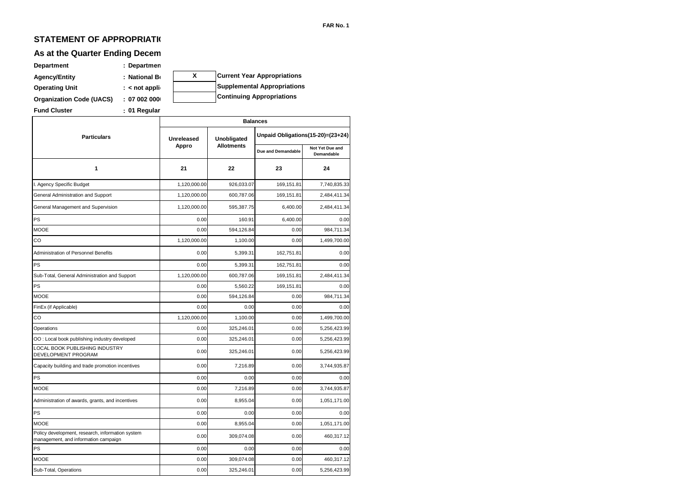### **STATEMENT OF APPROPRIATI(**

# **As at the Quarter Ending Decem**

| <b>Department</b>               | : Departmen      |   |                                    |
|---------------------------------|------------------|---|------------------------------------|
| <b>Agency/Entity</b>            | : National Bo    | X | <b>Current Year Appropriations</b> |
| <b>Operating Unit</b>           | $:$ < not applie |   | <b>Supplemental Appropriations</b> |
| <b>Organization Code (UACS)</b> | : 070020000      |   | <b>Continuing Appropriations</b>   |
| <b>Fund Cluster</b>             | : 01 Regular     |   |                                    |

|                                                                                          | <b>Balances</b>   |                   |                                   |                               |  |  |  |
|------------------------------------------------------------------------------------------|-------------------|-------------------|-----------------------------------|-------------------------------|--|--|--|
| <b>Particulars</b>                                                                       | <b>Unreleased</b> | Unobligated       | Unpaid Obligations(15-20)=(23+24) |                               |  |  |  |
|                                                                                          | Appro             | <b>Allotments</b> | Due and Demandable                | Not Yet Due and<br>Demandable |  |  |  |
| 1                                                                                        | 21                | 22                | 23                                | 24                            |  |  |  |
| I. Agency Specific Budget                                                                | 1,120,000.00      | 926,033.07        | 169,151.81                        | 7,740,835.33                  |  |  |  |
| General Administration and Support                                                       | 1,120,000.00      | 600,787.06        | 169,151.81                        | 2,484,411.34                  |  |  |  |
| General Management and Supervision                                                       | 1,120,000.00      | 595,387.75        | 6,400.00                          | 2,484,411.34                  |  |  |  |
| PS                                                                                       | 0.00              | 160.91            | 6,400.00                          | 0.00                          |  |  |  |
| MOOE                                                                                     | 0.00              | 594.126.84        | 0.00                              | 984.711.34                    |  |  |  |
| CO                                                                                       | 1,120,000.00      | 1,100.00          | 0.00                              | 1,499,700.00                  |  |  |  |
| Administration of Personnel Benefits                                                     | 0.00              | 5,399.31          | 162,751.81                        | 0.00                          |  |  |  |
| PS                                                                                       | 0.00              | 5,399.31          | 162,751.81                        | 0.00                          |  |  |  |
| Sub-Total, General Administration and Support                                            | 1,120,000.00      | 600.787.06        | 169.151.81                        | 2,484,411.34                  |  |  |  |
| PS                                                                                       | 0.00              | 5,560.22          | 169,151.81                        | 0.00                          |  |  |  |
| <b>MOOE</b>                                                                              | 0.00              | 594,126.84        | 0.00                              | 984,711.34                    |  |  |  |
| FinEx (if Applicable)                                                                    | 0.00              | 0.00              | 0.00                              | 0.00                          |  |  |  |
| CO                                                                                       | 1,120,000.00      | 1,100.00          | 0.00                              | 1,499,700.00                  |  |  |  |
| Operations                                                                               | 0.00              | 325,246.01        | 0.00                              | 5,256,423.99                  |  |  |  |
| OO: Local book publishing industry developed                                             | 0.00              | 325,246.01        | 0.00                              | 5,256,423.99                  |  |  |  |
| LOCAL BOOK PUBLISHING INDUSTRY<br>DEVELOPMENT PROGRAM                                    | 0.00              | 325,246.01        | 0.00                              | 5,256,423.99                  |  |  |  |
| Capacity building and trade promotion incentives                                         | 0.00              | 7,216.89          | 0.00                              | 3,744,935.87                  |  |  |  |
| PS                                                                                       | 0.00              | 0.00              | 0.00                              | 0.00                          |  |  |  |
| <b>MOOE</b>                                                                              | 0.00              | 7,216.89          | 0.00                              | 3,744,935.87                  |  |  |  |
| Administration of awards, grants, and incentives                                         | 0.00              | 8,955.04          | 0.00                              | 1,051,171.00                  |  |  |  |
| PS                                                                                       | 0.00              | 0.00              | 0.00                              | 0.00                          |  |  |  |
| <b>MOOE</b>                                                                              | 0.00              | 8,955.04          | 0.00                              | 1,051,171.00                  |  |  |  |
| Policy development, research, information system<br>management, and information campaign | 0.00              | 309,074.08        | 0.00                              | 460,317.12                    |  |  |  |
| PS                                                                                       | 0.00              | 0.00              | 0.00                              | 0.00                          |  |  |  |
| MOOE                                                                                     | 0.00              | 309,074.08        | 0.00                              | 460,317.12                    |  |  |  |
| Sub-Total, Operations                                                                    | 0.00              | 325,246.01        | 0.00                              | 5,256,423.99                  |  |  |  |